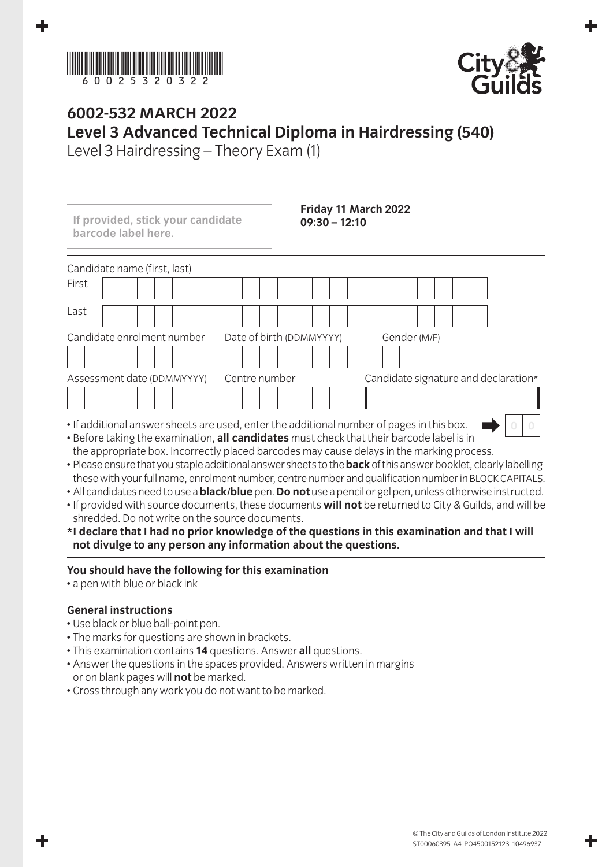



## **6002-532 March 2022 Level 3 Advanced Technical Diploma in Hairdressing (540)**

Level 3 Hairdressing – Theory Exam (1)

| If provided, stick your candidate<br>barcode label here. | $09:30 - 12:10$                                                                                                                                                                                                                                                                                                                  | Friday 11 March 2022                 |
|----------------------------------------------------------|----------------------------------------------------------------------------------------------------------------------------------------------------------------------------------------------------------------------------------------------------------------------------------------------------------------------------------|--------------------------------------|
| Candidate name (first, last)                             |                                                                                                                                                                                                                                                                                                                                  |                                      |
| First                                                    |                                                                                                                                                                                                                                                                                                                                  |                                      |
| Last                                                     |                                                                                                                                                                                                                                                                                                                                  |                                      |
| Candidate enrolment number                               | Date of birth (DDMMYYYY)                                                                                                                                                                                                                                                                                                         | Gender (M/F)                         |
| Assessment date (DDMMYYYY)                               | Centre number                                                                                                                                                                                                                                                                                                                    | Candidate signature and declaration* |
|                                                          | . If additional answer sheets are used, enter the additional number of pages in this box.<br><b>B</b> C and the contract of the theory and the contract of the contract of the contract of the contract of the contract of the contract of the contract of the contract of the contract of the contract of the contract of the c |                                      |

- Before taking the examination, **all candidates** must check that their barcode label is in the appropriate box. Incorrectly placed barcodes may cause delays in the marking process.
- Please ensure that you staple additional answer sheets to the **back** of this answer booklet, clearly labelling these with your full name, enrolment number, centre number and qualification number in BLOCK CAPITALS.
- All candidates need to use a **black/blue** pen. **Do not** use a pencil or gel pen, unless otherwise instructed.
- If provided with source documents, these documents **will not** be returned to City & Guilds, and will be shredded. Do not write on the source documents.
- **\* I declare that I had no prior knowledge of the questions in this examination and that I will not divulge to any person any information about the questions.**

## **You should have the following for this examination**

• a pen with blue or black ink

## **General instructions**

- Use black or blue ball-point pen.
- The marks for questions are shown in brackets.
- This examination contains **14** questions. Answer **all** questions.
- Answer the questions in the spaces provided. Answers written in margins or on blank pages will **not** be marked.
- Cross through any work you do not want to be marked.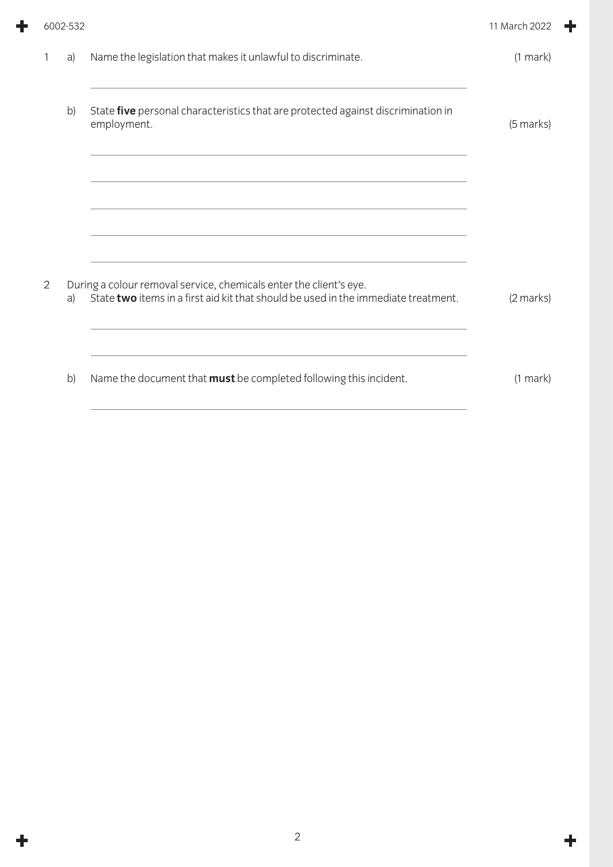|   | 6002-532 |                                                                                                                                                          | 11 March 2022 |
|---|----------|----------------------------------------------------------------------------------------------------------------------------------------------------------|---------------|
| 1 | a)       | Name the legislation that makes it unlawful to discriminate.                                                                                             | $(1$ mark $)$ |
|   | b)       | State five personal characteristics that are protected against discrimination in<br>employment.                                                          | (5 marks)     |
|   |          |                                                                                                                                                          |               |
| 2 | a)       | During a colour removal service, chemicals enter the client's eye.<br>State two items in a first aid kit that should be used in the immediate treatment. | (2 marks)     |
|   | b)       | Name the document that must be completed following this incident.                                                                                        | $(1$ mark)    |

╋

÷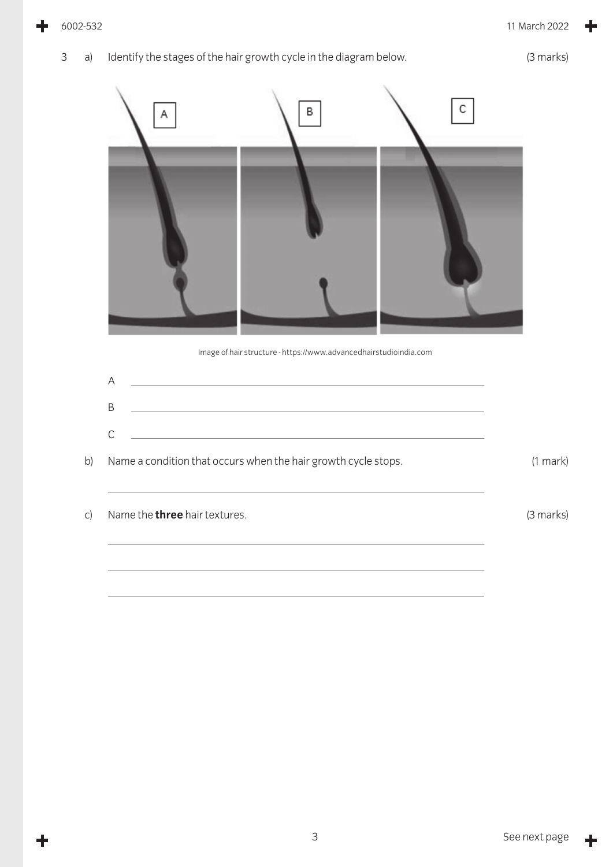|  | Identify the stages of the hair growth cycle in the diagram below. |  | (3 marks) |
|--|--------------------------------------------------------------------|--|-----------|
|  |                                                                    |  |           |



Image of hair structure - https://www.advancedhairstudioindia.com

| $\mathsf{b}$ | Name a condition that occurs when the hair growth cycle stops. | (1 mark) |
|--------------|----------------------------------------------------------------|----------|

c) Name the **three** hair textures. (3 marks)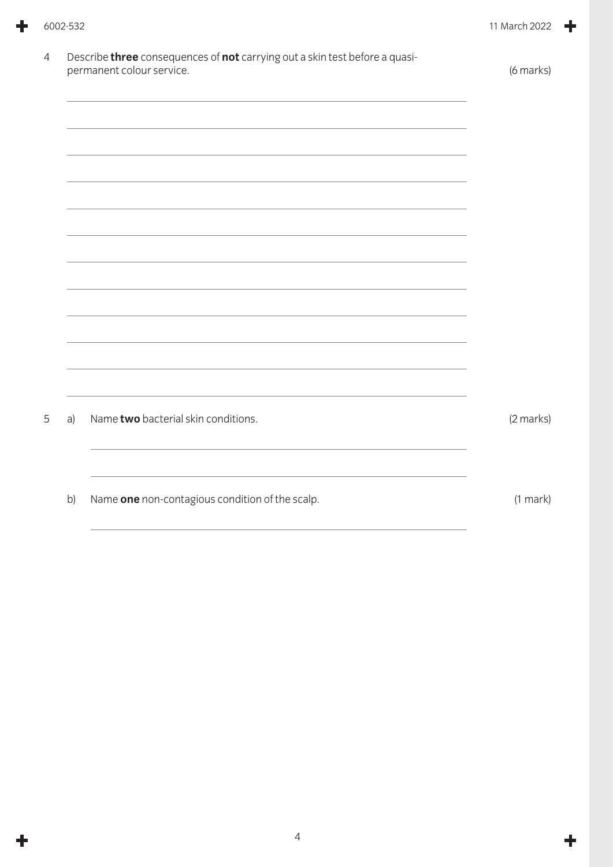|    | Describe three consequences of not carrying out a skin test before a quasi-<br>permanent colour service. | (6 marks)  |
|----|----------------------------------------------------------------------------------------------------------|------------|
|    |                                                                                                          |            |
|    |                                                                                                          |            |
|    |                                                                                                          |            |
|    |                                                                                                          |            |
|    |                                                                                                          |            |
|    |                                                                                                          |            |
|    |                                                                                                          |            |
|    |                                                                                                          |            |
|    |                                                                                                          |            |
|    |                                                                                                          |            |
| a) | Name two bacterial skin conditions.                                                                      | (2 marks)  |
|    |                                                                                                          |            |
| b) | Name one non-contagious condition of the scalp.                                                          | $(1$ mark) |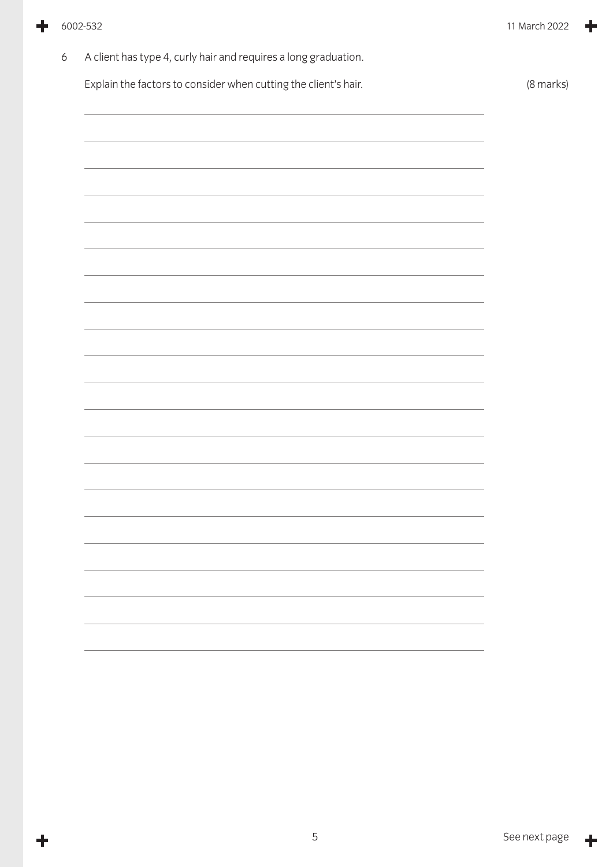6 A client has type 4, curly hair and requires a long graduation.

Explain the factors to consider when cutting the client's hair. (8 marks)

Ł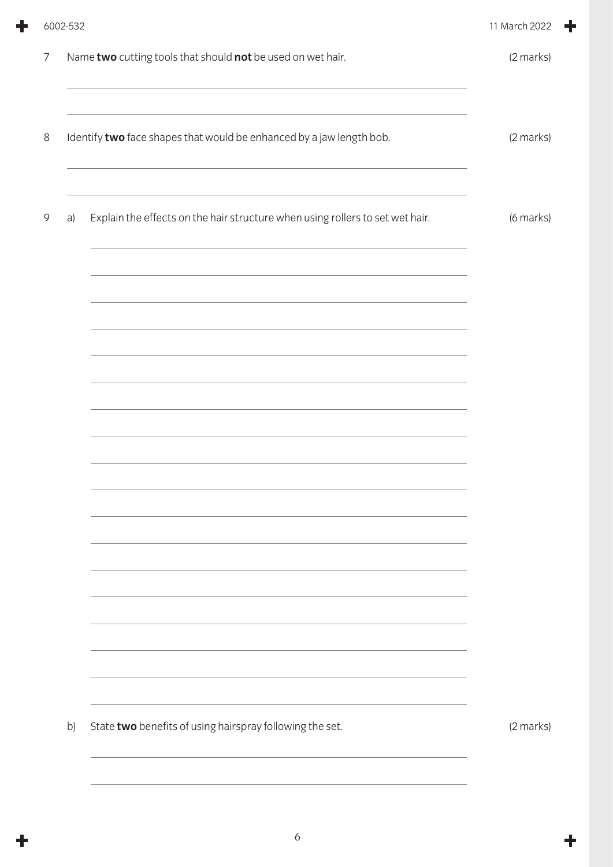|    | 6002-532                                                                                                                                                                                          | 11 March 2022 |
|----|---------------------------------------------------------------------------------------------------------------------------------------------------------------------------------------------------|---------------|
|    | Name two cutting tools that should not be used on wet hair.                                                                                                                                       | (2 marks)     |
|    | <u> 1989 - Johann Stoff, deutscher Stoff, der Stoff, der Stoff, der Stoff, der Stoff, der Stoff, der Stoff, der S</u><br>Identify two face shapes that would be enhanced by a jaw length bob.     | (2 marks)     |
| a) | and the control of the control of the control of the control of the control of the control of the control of the<br>Explain the effects on the hair structure when using rollers to set wet hair. | (6 marks)     |
|    | <u> 1989 - Johann Stoff, deutscher Stoff, der Stoff, der Stoff, der Stoff, der Stoff, der Stoff, der Stoff, der S</u>                                                                             |               |
|    | <u> 1989 - Johann Stoff, amerikansk politiker (d. 1989)</u>                                                                                                                                       |               |
|    | <u> 1989 - Johann Stoff, amerikansk politiker (* 1908)</u>                                                                                                                                        |               |
|    |                                                                                                                                                                                                   |               |
|    |                                                                                                                                                                                                   |               |
|    |                                                                                                                                                                                                   |               |
|    |                                                                                                                                                                                                   |               |
| b) | State two benefits of using hairspray following the set.                                                                                                                                          | (2 marks)     |

╋

6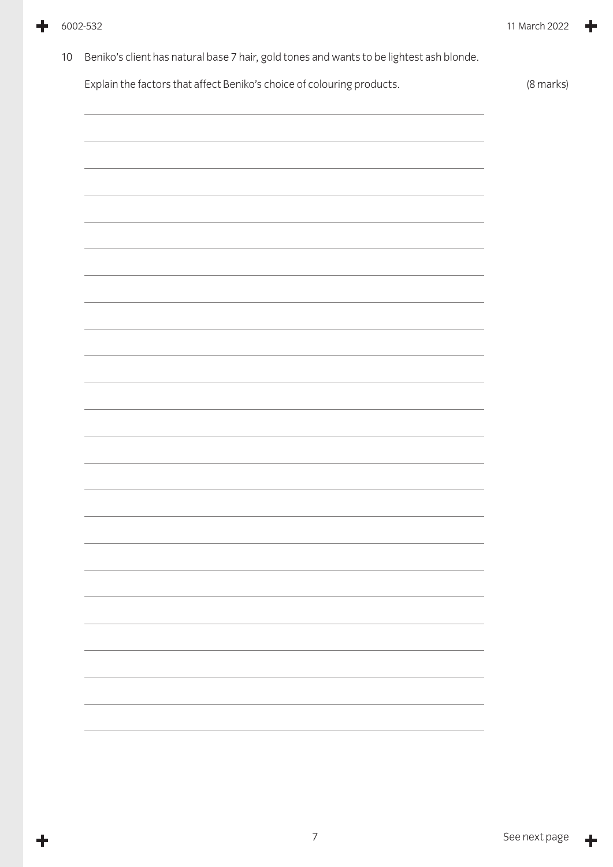10 Beniko's client has natural base 7 hair, gold tones and wants to be lightest ash blonde.

Explain the factors that affect Beniko's choice of colouring products. (8 marks)

| 7 |  |
|---|--|
|   |  |

Ł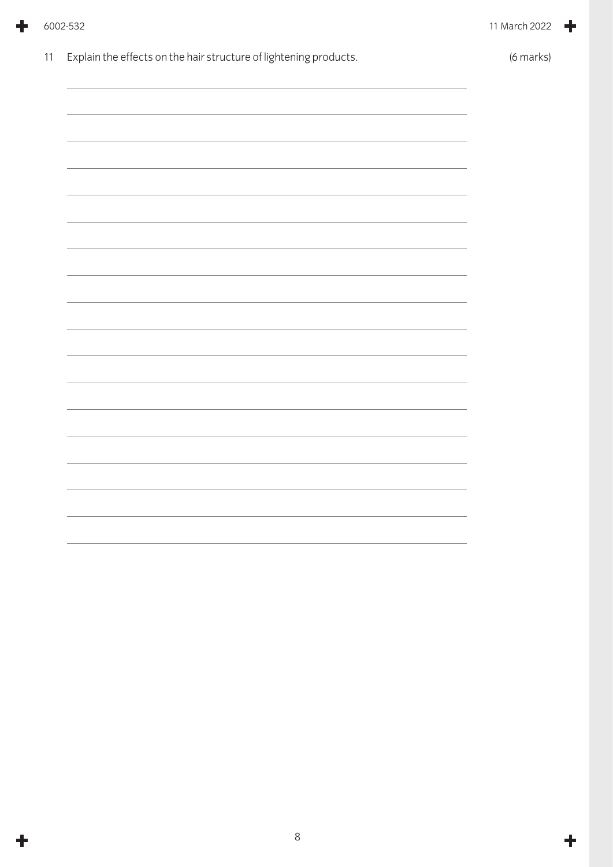| 6002-532                                                          | 11 March 2022 |
|-------------------------------------------------------------------|---------------|
| Explain the effects on the hair structure of lightening products. | (6 marks)     |
|                                                                   |               |
|                                                                   |               |
|                                                                   |               |
|                                                                   |               |
|                                                                   |               |
|                                                                   |               |
|                                                                   |               |
|                                                                   |               |
|                                                                   |               |
|                                                                   |               |
|                                                                   |               |
|                                                                   |               |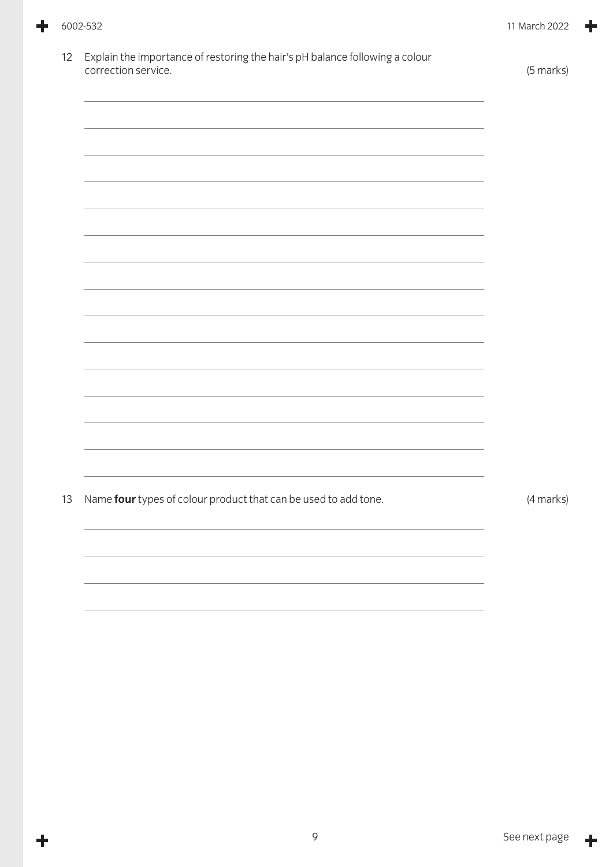÷

 $\ddot{\phantom{1}}$ 

| Explain the importance of restoring the hair's pH balance following a colour<br>correction service. | (5 marks) |
|-----------------------------------------------------------------------------------------------------|-----------|
|                                                                                                     |           |
|                                                                                                     |           |
|                                                                                                     |           |
|                                                                                                     |           |
|                                                                                                     |           |
|                                                                                                     |           |
| <u> 1989 - Johann Stoff, Amerikaansk politiker (* 1908)</u>                                         |           |
|                                                                                                     |           |
|                                                                                                     |           |
|                                                                                                     |           |
|                                                                                                     |           |
|                                                                                                     |           |
| ,我们也不能在这里的时候,我们也不能在这里的时候,我们也不能会在这里的时候,我们也不能会在这里的时候,我们也不能会在这里的时候,我们也不能会在这里的时候,我们也                    |           |
|                                                                                                     |           |
| Name four types of colour product that can be used to add tone.                                     | (4 marks) |
|                                                                                                     |           |
|                                                                                                     |           |
|                                                                                                     |           |
|                                                                                                     |           |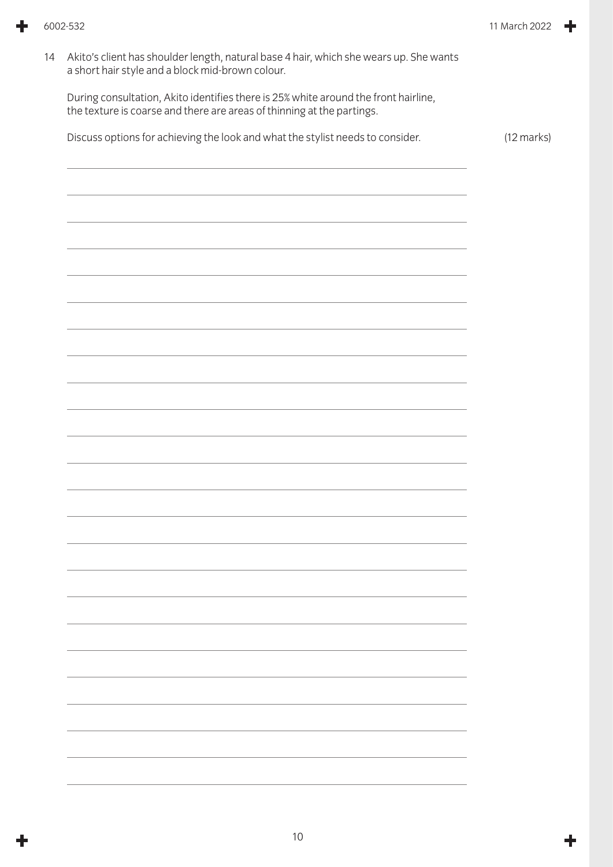14 Akito's client has shoulder length, natural base 4 hair, which she wears up. She wants a short hair style and a block mid-brown colour. During consultation, Akito identifies there is 25% white around the front hairline, the texture is coarse and there are areas of thinning at the partings. Discuss options for achieving the look and what the stylist needs to consider. (12 marks)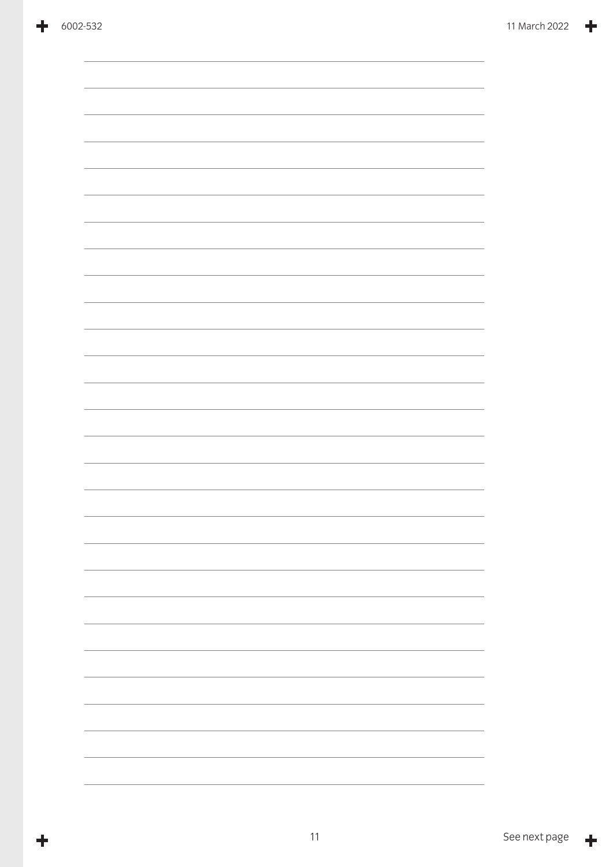÷

÷

| $\overline{\phantom{0}}$ |
|--------------------------|
|                          |
|                          |
|                          |
|                          |
|                          |
|                          |
|                          |
|                          |
|                          |
|                          |
|                          |
|                          |
|                          |
|                          |
|                          |
|                          |
|                          |
|                          |
|                          |
|                          |
|                          |
|                          |
|                          |
|                          |
|                          |
|                          |
|                          |
|                          |
|                          |
|                          |
|                          |
|                          |
|                          |
|                          |
|                          |
|                          |
|                          |
|                          |
|                          |
|                          |
|                          |
|                          |
|                          |
|                          |
|                          |
|                          |
|                          |
|                          |
|                          |
|                          |
|                          |
|                          |
|                          |
|                          |
|                          |
|                          |
|                          |
|                          |
|                          |
|                          |
|                          |
|                          |
|                          |
|                          |
|                          |
|                          |
|                          |
|                          |
|                          |
|                          |
|                          |
|                          |
|                          |
|                          |
|                          |
|                          |
|                          |
|                          |
|                          |
|                          |
|                          |
|                          |
|                          |
|                          |